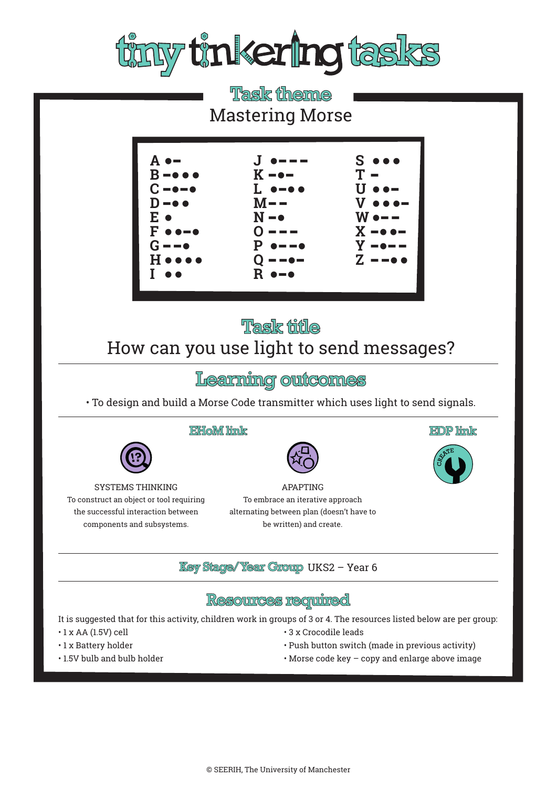

# **Task theme** Mastering Morse



# **Task title** How can you use light to send messages?

## Learning outcomes

• To design and build a Morse Code transmitter which uses light to send signals.

#### EHoM link



APAPTING To embrace an iterative approach alternating between plan (doesn't have to be written) and create.

**Key Stage/Year Group UKS2 - Year 6** 

#### **Resources required**

It is suggested that for this activity, children work in groups of 3 or 4. The resources listed below are per group:

- $\cdot$  1 x AA (1.5V) cell
- 1 x Battery holder
- 1.5V bulb and bulb holder

SYSTEMS THINKING To construct an object or tool requiring the successful interaction between components and subsystems.

- 3 x Crocodile leads
- Push button switch (made in previous activity)

**EDP** link

• Morse code key – copy and enlarge above image